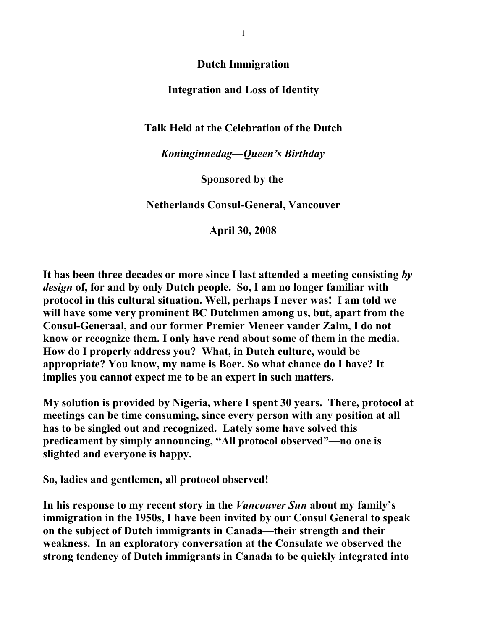**Dutch Immigration**

## **Integration and Loss of Identity**

## **Talk Held at the Celebration of the Dutch**

## *Koninginnedag—Queen's Birthday*

**Sponsored by the** 

**Netherlands Consul-General, Vancouver**

 **April 30, 2008**

**It has been three decades or more since I last attended a meeting consisting** *by design* **of, for and by only Dutch people. So, I am no longer familiar with protocol in this cultural situation. Well, perhaps I never was! I am told we will have some very prominent BC Dutchmen among us, but, apart from the Consul-Generaal, and our former Premier Meneer vander Zalm, I do not know or recognize them. I only have read about some of them in the media. How do I properly address you? What, in Dutch culture, would be appropriate? You know, my name is Boer. So what chance do I have? It implies you cannot expect me to be an expert in such matters.** 

**My solution is provided by Nigeria, where I spent 30 years. There, protocol at meetings can be time consuming, since every person with any position at all has to be singled out and recognized. Lately some have solved this predicament by simply announcing, "All protocol observed"—no one is slighted and everyone is happy.** 

**So, ladies and gentlemen, all protocol observed!**

**In his response to my recent story in the** *Vancouver Sun* **about my family's immigration in the 1950s, I have been invited by our Consul General to speak on the subject of Dutch immigrants in Canada—their strength and their weakness. In an exploratory conversation at the Consulate we observed the strong tendency of Dutch immigrants in Canada to be quickly integrated into**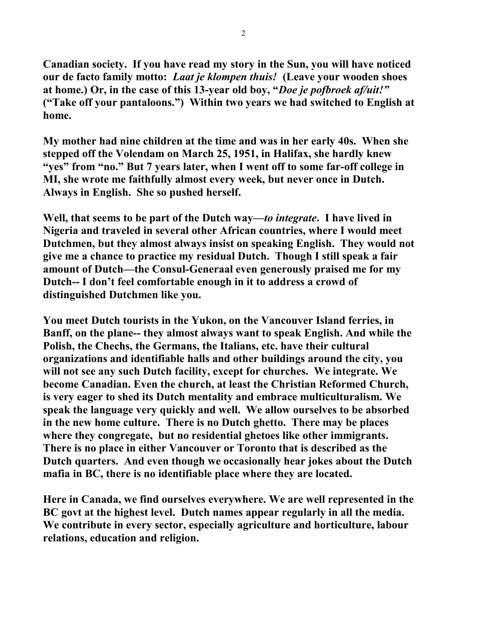**Canadian society. If you have read my story in the Sun, you will have noticed our de facto family motto:** *Laat je klompen thuis!* **(Leave your wooden shoes at home.) Or, in the case of this 13-year old boy, "***Doe je pofbroek af/uit!"* **("Take off your pantaloons.") Within two years we had switched to English at home.** 

**My mother had nine children at the time and was in her early 40s. When she stepped off the Volendam on March 25, 1951, in Halifax, she hardly knew "yes" from "no." But 7 years later, when I went off to some far-off college in MI, she wrote me faithfully almost every week, but never once in Dutch. Always in English. She so pushed herself.** 

**Well, that seems to be part of the Dutch way—***to integrate***. I have lived in Nigeria and traveled in several other African countries, where I would meet Dutchmen, but they almost always insist on speaking English. They would not give me a chance to practice my residual Dutch. Though I still speak a fair amount of Dutch—the Consul-Generaal even generously praised me for my Dutch-- I don't feel comfortable enough in it to address a crowd of distinguished Dutchmen like you.** 

**You meet Dutch tourists in the Yukon, on the Vancouver Island ferries, in Banff, on the plane-- they almost always want to speak English. And while the Polish, the Chechs, the Germans, the Italians, etc. have their cultural organizations and identifiable halls and other buildings around the city, you will not see any such Dutch facility, except for churches. We integrate. We become Canadian. Even the church, at least the Christian Reformed Church, is very eager to shed its Dutch mentality and embrace multiculturalism. We speak the language very quickly and well. We allow ourselves to be absorbed in the new home culture. There is no Dutch ghetto. There may be places where they congregate, but no residential ghetoes like other immigrants. There is no place in either Vancouver or Toronto that is described as the Dutch quarters. And even though we occasionally hear jokes about the Dutch mafia in BC, there is no identifiable place where they are located.**

**Here in Canada, we find ourselves everywhere. We are well represented in the BC govt at the highest level. Dutch names appear regularly in all the media. We contribute in every sector, especially agriculture and horticulture, labour relations, education and religion.**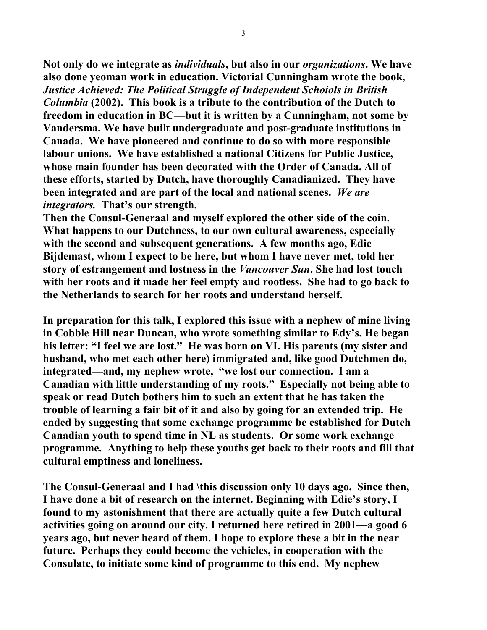**Not only do we integrate as** *individuals***, but also in our** *organizations***. We have also done yeoman work in education. Victorial Cunningham wrote the book,**  *Justice Achieved: The Political Struggle of Independent Schoiols in British Columbia* **(2002). This book is a tribute to the contribution of the Dutch to freedom in education in BC—but it is written by a Cunningham, not some by Vandersma. We have built undergraduate and post-graduate institutions in Canada. We have pioneered and continue to do so with more responsible labour unions. We have established a national Citizens for Public Justice, whose main founder has been decorated with the Order of Canada. All of these efforts, started by Dutch, have thoroughly Canadianized. They have been integrated and are part of the local and national scenes.** *We are integrators.* **That's our strength.** 

**Then the Consul-Generaal and myself explored the other side of the coin. What happens to our Dutchness, to our own cultural awareness, especially with the second and subsequent generations. A few months ago, Edie Bijdemast, whom I expect to be here, but whom I have never met, told her story of estrangement and lostness in the** *Vancouver Sun***. She had lost touch with her roots and it made her feel empty and rootless. She had to go back to the Netherlands to search for her roots and understand herself.** 

**In preparation for this talk, I explored this issue with a nephew of mine living in Cobble Hill near Duncan, who wrote something similar to Edy's. He began his letter: "I feel we are lost." He was born on VI. His parents (my sister and husband, who met each other here) immigrated and, like good Dutchmen do, integrated—and, my nephew wrote, "we lost our connection. I am a Canadian with little understanding of my roots." Especially not being able to speak or read Dutch bothers him to such an extent that he has taken the trouble of learning a fair bit of it and also by going for an extended trip. He ended by suggesting that some exchange programme be established for Dutch Canadian youth to spend time in NL as students. Or some work exchange programme. Anything to help these youths get back to their roots and fill that cultural emptiness and loneliness.** 

**The Consul-Generaal and I had \this discussion only 10 days ago. Since then, I have done a bit of research on the internet. Beginning with Edie's story, I found to my astonishment that there are actually quite a few Dutch cultural activities going on around our city. I returned here retired in 2001—a good 6 years ago, but never heard of them. I hope to explore these a bit in the near future. Perhaps they could become the vehicles, in cooperation with the Consulate, to initiate some kind of programme to this end. My nephew**